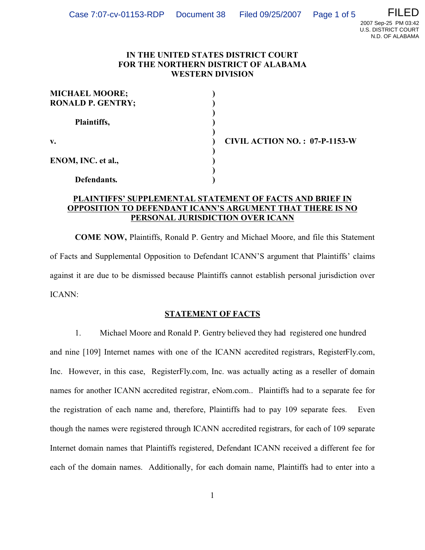N.D. OF ALABAMA

## **IN THE UNITED STATES DISTRICT COURT FOR THE NORTHERN DISTRICT OF ALABAMA WESTERN DIVISION**

| <b>MICHAEL MOORE;</b><br><b>RONALD P. GENTRY;</b> |  |
|---------------------------------------------------|--|
| Plaintiffs,                                       |  |
| v.                                                |  |
| ENOM, INC. et al.,                                |  |
| Defendants.                                       |  |

**v. ) CIVIL ACTION NO. : 07-P-1153-W**

# **PLAINTIFFS' SUPPLEMENTAL STATEMENT OF FACTS AND BRIEF IN OPPOSITION TO DEFENDANT ICANN'S ARGUMENT THAT THERE IS NO PERSONAL JURISDICTION OVER ICANN**

**COME NOW,** Plaintiffs, Ronald P. Gentry and Michael Moore, and file this Statement of Facts and Supplemental Opposition to Defendant ICANN'S argument that Plaintiffs' claims against it are due to be dismissed because Plaintiffs cannot establish personal jurisdiction over ICANN:

# **STATEMENT OF FACTS**

1. Michael Moore and Ronald P. Gentry believed they had registered one hundred and nine [109] Internet names with one of the ICANN accredited registrars, RegisterFly.com, Inc. However, in this case, RegisterFly.com, Inc. was actually acting as a reseller of domain names for another ICANN accredited registrar, eNom.com.. Plaintiffs had to a separate fee for the registration of each name and, therefore, Plaintiffs had to pay 109 separate fees. Even though the names were registered through ICANN accredited registrars, for each of 109 separate Internet domain names that Plaintiffs registered, Defendant ICANN received a different fee for each of the domain names. Additionally, for each domain name, Plaintiffs had to enter into a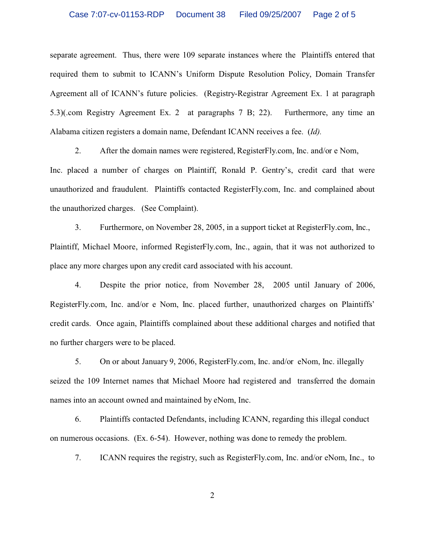### Case 7:07-cv-01153-RDP Document 38 Filed 09/25/2007 Page 2 of 5

separate agreement. Thus, there were 109 separate instances where the Plaintiffs entered that required them to submit to ICANN's Uniform Dispute Resolution Policy, Domain Transfer Agreement all of ICANN's future policies. (Registry-Registrar Agreement Ex. 1 at paragraph 5.3)(.com Registry Agreement Ex. 2 at paragraphs 7 B; 22). Furthermore, any time an Alabama citizen registers a domain name, Defendant ICANN receives a fee. (*Id).*

2. After the domain names were registered, RegisterFly.com, Inc. and/or e Nom, Inc. placed a number of charges on Plaintiff, Ronald P. Gentry's, credit card that were unauthorized and fraudulent. Plaintiffs contacted RegisterFly.com, Inc. and complained about the unauthorized charges. (See Complaint).

3. Furthermore, on November 28, 2005, in a support ticket at RegisterFly.com, Inc., Plaintiff, Michael Moore, informed RegisterFly.com, Inc., again, that it was not authorized to place any more charges upon any credit card associated with his account.

4. Despite the prior notice, from November 28, 2005 until January of 2006, RegisterFly.com, Inc. and/or e Nom, Inc. placed further, unauthorized charges on Plaintiffs' credit cards. Once again, Plaintiffs complained about these additional charges and notified that no further chargers were to be placed.

5. On or about January 9, 2006, RegisterFly.com, Inc. and/or eNom, Inc. illegally seized the 109 Internet names that Michael Moore had registered and transferred the domain names into an account owned and maintained by eNom, Inc.

6. Plaintiffs contacted Defendants, including ICANN, regarding this illegal conduct on numerous occasions. (Ex. 6-54). However, nothing was done to remedy the problem.

7. ICANN requires the registry, such as RegisterFly.com, Inc. and/or eNom, Inc., to

2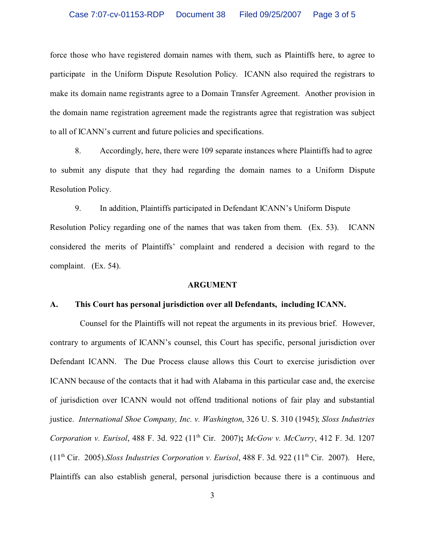## Case 7:07-cv-01153-RDP Document 38 Filed 09/25/2007 Page 3 of 5

force those who have registered domain names with them, such as Plaintiffs here, to agree to participate in the Uniform Dispute Resolution Policy. ICANN also required the registrars to make its domain name registrants agree to a Domain Transfer Agreement. Another provision in the domain name registration agreement made the registrants agree that registration was subject to all of ICANN's current and future policies and specifications.

8. Accordingly, here, there were 109 separate instances where Plaintiffs had to agree to submit any dispute that they had regarding the domain names to a Uniform Dispute Resolution Policy.

9. In addition, Plaintiffs participated in Defendant ICANN's Uniform Dispute Resolution Policy regarding one of the names that was taken from them. (Ex. 53). ICANN considered the merits of Plaintiffs' complaint and rendered a decision with regard to the complaint. (Ex. 54).

#### **ARGUMENT**

#### **A. This Court has personal jurisdiction over all Defendants, including ICANN.**

Counsel for the Plaintiffs will not repeat the arguments in its previous brief. However, contrary to arguments of ICANN's counsel, this Court has specific, personal jurisdiction over Defendant ICANN. The Due Process clause allows this Court to exercise jurisdiction over ICANN because of the contacts that it had with Alabama in this particular case and, the exercise of jurisdiction over ICANN would not offend traditional notions of fair play and substantial justice. *International Shoe Company, Inc. v. Washington*, 326 U. S. 310 (1945); *Sloss Industries Corporation v. Eurisol*, 488 F. 3d. 922 (11th Cir. 2007)**;** *McGow v. McCurry*, 412 F. 3d. 1207 (11th Cir. 2005).*Sloss Industries Corporation v. Eurisol*, 488 F. 3d. 922 (11th Cir. 2007). Here, Plaintiffs can also establish general, personal jurisdiction because there is a continuous and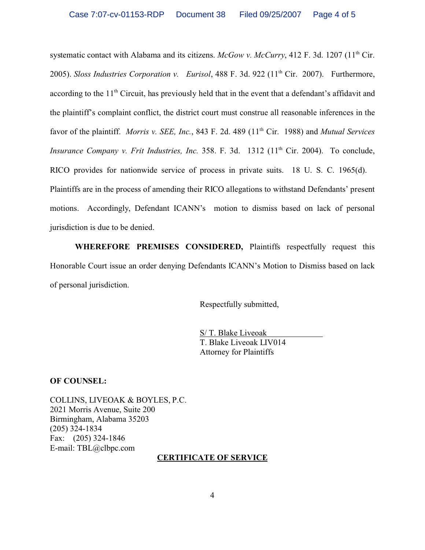systematic contact with Alabama and its citizens. *McGow v. McCurry*, 412 F. 3d. 1207 (11<sup>th</sup> Cir. 2005). *Sloss Industries Corporation v. Eurisol*, 488 F. 3d. 922 (11th Cir. 2007). Furthermore, according to the 11<sup>th</sup> Circuit, has previously held that in the event that a defendant's affidavit and the plaintiff's complaint conflict, the district court must construe all reasonable inferences in the favor of the plaintiff. *Morris v. SEE, Inc.*, 843 F. 2d. 489 (11<sup>th</sup> Cir. 1988) and *Mutual Services Insurance Company v. Frit Industries, Inc.* 358. F. 3d. 1312 (11<sup>th</sup> Cir. 2004). To conclude, RICO provides for nationwide service of process in private suits. 18 U. S. C. 1965(d). Plaintiffs are in the process of amending their RICO allegations to withstand Defendants' present motions. Accordingly, Defendant ICANN's motion to dismiss based on lack of personal jurisdiction is due to be denied.

**WHEREFORE PREMISES CONSIDERED,** Plaintiffs respectfully request this Honorable Court issue an order denying Defendants ICANN's Motion to Dismiss based on lack of personal jurisdiction.

Respectfully submitted,

S/ T. Blake Liveoak T. Blake Liveoak LIV014 Attorney for Plaintiffs

**OF COUNSEL:**

COLLINS, LIVEOAK & BOYLES, P.C. 2021 Morris Avenue, Suite 200 Birmingham, Alabama 35203 (205) 324-1834 Fax: (205) 324-1846 E-mail: TBL@clbpc.com

### **CERTIFICATE OF SERVICE**